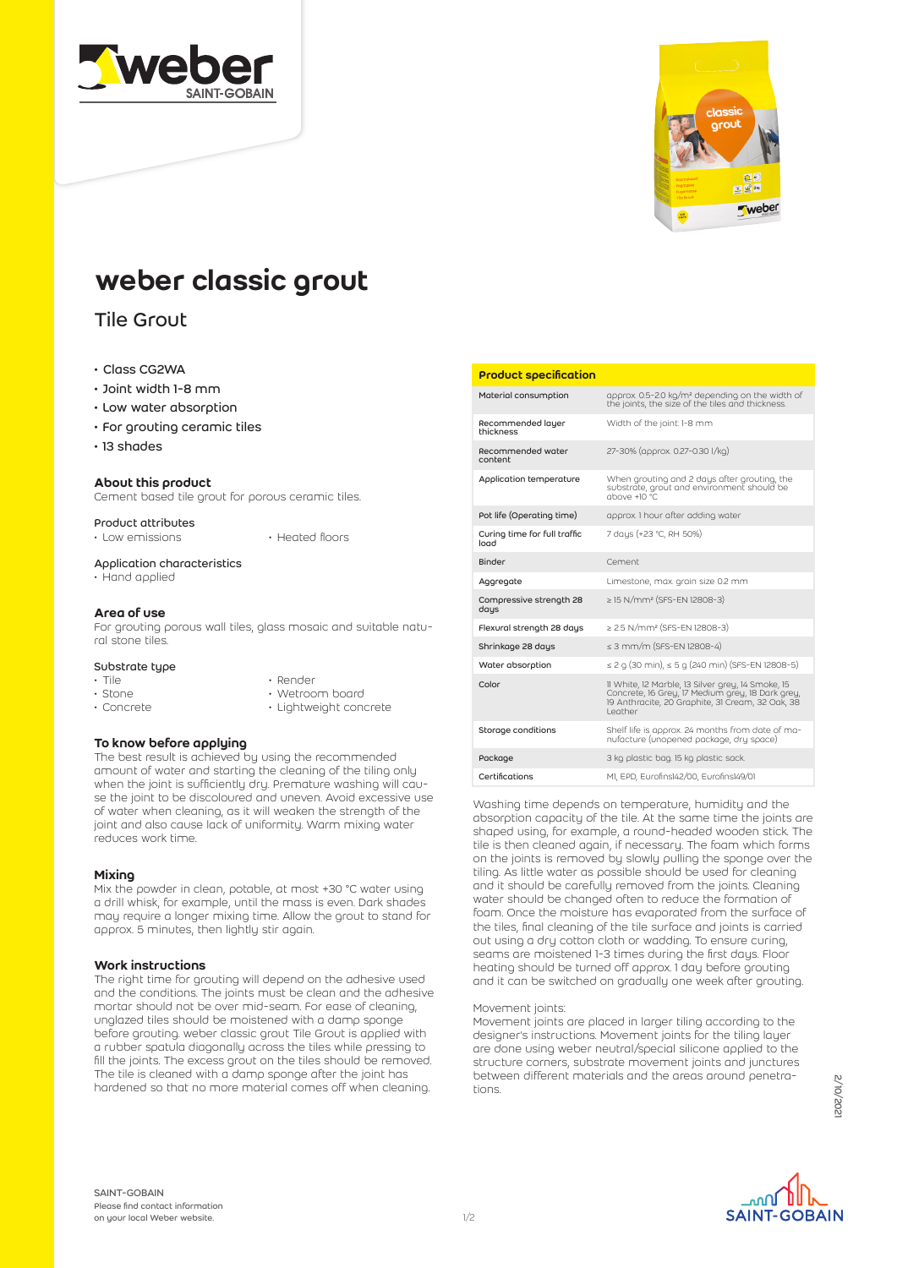



# weber classic grout

# Tile Grout

# • Class CG2WA

- Joint width 1-8 mm
- Low water absorption
- For grouting ceramic tiles
- 13 shades

# About this product

Cement based tile grout for porous ceramic tiles.

Product attributes

• Low emissions • Heated floors

#### Application characteristics

• Hand applied

#### Area of use

For grouting porous wall tiles, glass mosaic and suitable natural stone tiles.

#### Substrate type

- Tile
- Stone
- Concrete

• Render • Wetroom board

• Lightweight concrete

#### To know before applying

The best result is achieved by using the recommended amount of water and starting the cleaning of the tiling only when the joint is sufficiently dry. Premature washing will cause the joint to be discoloured and uneven. Avoid excessive use of water when cleaning, as it will weaken the strength of the joint and also cause lack of uniformity. Warm mixing water reduces work time.

#### **Mixing**

Mix the powder in clean, potable, at most +30 °C water using a drill whisk, for example, until the mass is even. Dark shades may require a longer mixing time. Allow the grout to stand for approx. 5 minutes, then lightly stir again.

#### Work instructions

The right time for grouting will depend on the adhesive used and the conditions. The joints must be clean and the adhesive mortar should not be over mid-seam. For ease of cleaning, unglazed tiles should be moistened with a damp sponge before grouting. weber classic grout Tile Grout is applied with a rubber spatula diagonally across the tiles while pressing to fill the joints. The excess grout on the tiles should be removed. The tile is cleaned with a damp sponge after the joint has hardened so that no more material comes off when cleaning.

#### Product specification

| Material consumption                 | approx. 0.5-2.0 kg/m <sup>2</sup> depending on the width of<br>the joints, the size of the tiles and thickness.                                                      |
|--------------------------------------|----------------------------------------------------------------------------------------------------------------------------------------------------------------------|
| Recommended layer<br>thickness       | Width of the joint: 1-8 mm                                                                                                                                           |
| Recommended water<br>content         | 27-30% (approx. 0.27-0.30 l/kg)                                                                                                                                      |
| Application temperature              | When grouting and 2 days after grouting, the<br>substrate, grout and environment should be<br>$10^{\circ}$ C.                                                        |
| Pot life (Operating time)            | approx. I hour after adding water                                                                                                                                    |
| Curing time for full traffic<br>load | 7 days (+23 °C, RH 50%)                                                                                                                                              |
| Binder                               | Cement                                                                                                                                                               |
| Aggregate                            | Limestone, max. grain size 0.2 mm                                                                                                                                    |
| Compressive strength 28<br>days      | $\geq$ 15 N/mm <sup>2</sup> (SFS-EN 12808-3)                                                                                                                         |
| Flexural strength 28 days            | $\geq$ 2.5 N/mm <sup>2</sup> (SFS-EN 12808-3)                                                                                                                        |
| Shrinkage 28 days                    | $\leq$ 3 mm/m (SFS-EN 12808-4)                                                                                                                                       |
| Water absorption                     | $\leq$ 2 g (30 min), $\leq$ 5 g (240 min) (SFS-EN 12808-5)                                                                                                           |
| Color                                | 11 White, 12 Marble, 13 Silver grey, 14 Smoke, 15<br>Concrete, 16 Grey, 17 Medium grey, 18 Dark grey,<br>19 Anthracite, 20 Graphite, 31 Cream, 32 Oak, 38<br>Leather |
| Storage conditions                   | Shelf life is approx. 24 months from date of ma-<br>nufacture (unopened package, dry space)                                                                          |
| Package                              | 3 kg plastic bag. 15 kg plastic sack.                                                                                                                                |
| Certifications                       | MI, EPD, Eurofins142/00, Eurofins149/01                                                                                                                              |

Washing time depends on temperature, humidity and the absorption capacity of the tile. At the same time the joints are shaped using, for example, a round-headed wooden stick. The tile is then cleaned again, if necessary. The foam which forms on the joints is removed by slowly pulling the sponge over the tiling. As little water as possible should be used for cleaning and it should be carefully removed from the joints. Cleaning water should be changed often to reduce the formation of foam. Once the moisture has evaporated from the surface of the tiles, final cleaning of the tile surface and joints is carried out using a dry cotton cloth or wadding. To ensure curing, seams are moistened 1-3 times during the first days. Floor heating should be turned off approx. 1 day before grouting and it can be switched on gradually one week after grouting.

#### Movement joints:

Movement joints are placed in larger tiling according to the designer's instructions. Movement joints for the tiling layer are done using weber neutral/special silicone applied to the structure corners, substrate movement joints and junctures between different materials and the areas around penetrations.

SAINT-GOBAIN Please find contact information on your local Weber website.